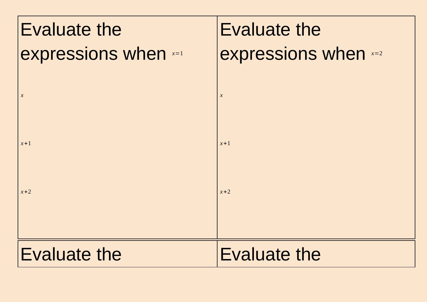| Evaluate the                | <b>Evaluate the</b>  |
|-----------------------------|----------------------|
| <b>expressions when</b> x=1 | expressions when x=2 |
|                             |                      |
| $\boldsymbol{\chi}$         | $\boldsymbol{x}$     |
| $x+1$                       | $x+1$                |
|                             |                      |
| $x+2$                       | $x+2$                |
|                             |                      |
|                             |                      |
| <b>Evaluate the</b>         | <b>Evaluate the</b>  |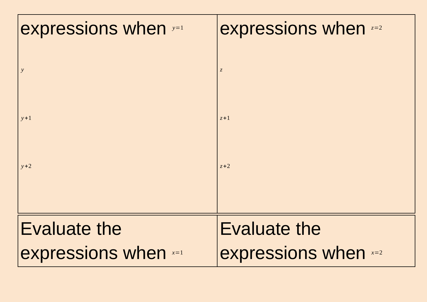| expressions when y=1        | expressions when $z=2$      |
|-----------------------------|-----------------------------|
| $\mathbf{y}$                | $\boldsymbol{Z}$            |
|                             |                             |
| $y+1$                       | $z+1$                       |
| $y+2$                       | $z+2$                       |
|                             |                             |
| <b>Evaluate the</b>         | Evaluate the                |
| <b>expressions when x=1</b> | <b>expressions when</b> x=2 |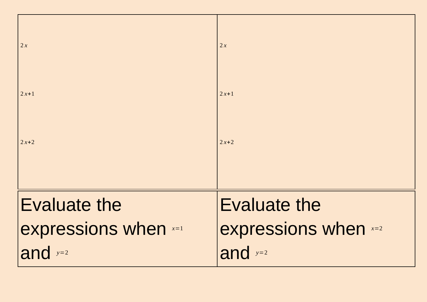| 2x                   | 2x                   |
|----------------------|----------------------|
| $2x+1$               | $2x+1$               |
| $2x+2$               | $2x+2$               |
|                      |                      |
| <b>Evaluate the</b>  | <b>Evaluate the</b>  |
| expressions when x=1 | expressions when x=2 |
| and $y=2$            | and $y=2$            |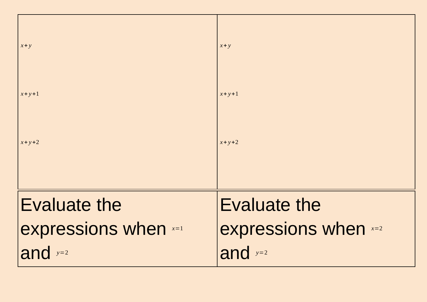| $x + y$              | $x + y$              |
|----------------------|----------------------|
| $x+y+1$              | $x+y+1$              |
| $x + y + 2$          | $x + y + 2$          |
|                      |                      |
| Evaluate the         | <b>Evaluate the</b>  |
| expressions when x=1 | expressions when x=2 |
| and $y=2$            | and $y=2$            |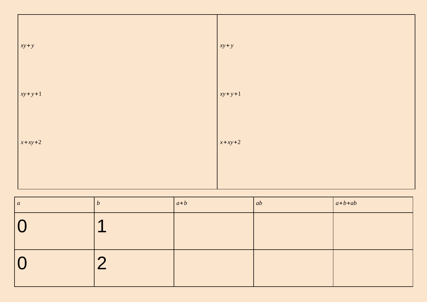| $xy + y$ | $xy + y$ |
|----------|----------|
| $xy+y+1$ | $xy+y+1$ |
| $x+xy+2$ | $x+xy+2$ |
|          |          |

| $\overline{a}$ | L | $a+b$ | ab | $ a+b+ab $ |
|----------------|---|-------|----|------------|
|                |   |       |    |            |
|                | ┍ |       |    |            |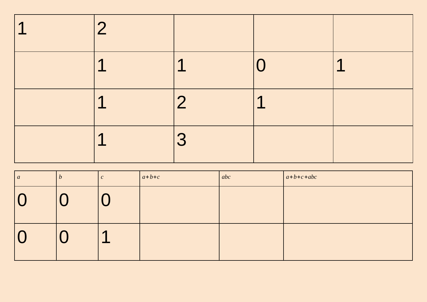| $\blacktriangleleft$ |                      |                |                |                |
|----------------------|----------------------|----------------|----------------|----------------|
|                      | $\blacktriangleleft$ | 1              |                | $\blacksquare$ |
|                      | $\sqrt{ }$           | $\overline{2}$ | $\blacksquare$ |                |
|                      | ┍                    | 3              |                |                |

| $\boldsymbol{a}$ | b | U          | $ a+b+c $ | abc | $a+b+c+abc$ |
|------------------|---|------------|-----------|-----|-------------|
|                  |   |            |           |     |             |
|                  |   | $\sqrt{ }$ |           |     |             |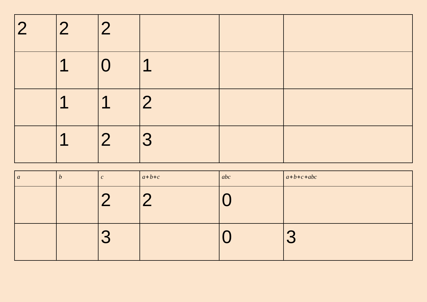| 2 | $\vert 2 \vert 2$ |                 |             |  |
|---|-------------------|-----------------|-------------|--|
|   | $\mathbf 1$       | $ 0 \rangle$    | $\mathbf 1$ |  |
|   | $1\overline{1}$   | 1 <br>$\vert$ 2 |             |  |
|   | $\overline{1}$    | $ 2 \rangle$    | 3           |  |

| $\boldsymbol{a}$ | $\bm{b}$ | $\sqrt{ }$<br>U            | $a+b+c$ | abc | $a+b+c+abc$ |
|------------------|----------|----------------------------|---------|-----|-------------|
|                  |          | $\sqrt{2}$                 | . .     |     |             |
|                  |          | $\Gamma$<br>$\blacksquare$ |         |     |             |